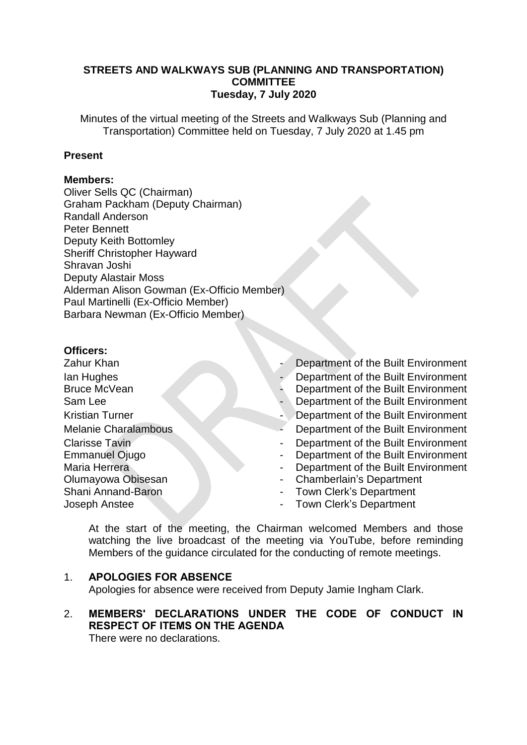# **STREETS AND WALKWAYS SUB (PLANNING AND TRANSPORTATION) COMMITTEE Tuesday, 7 July 2020**

Minutes of the virtual meeting of the Streets and Walkways Sub (Planning and Transportation) Committee held on Tuesday, 7 July 2020 at 1.45 pm

#### **Present**

#### **Members:**

Oliver Sells QC (Chairman) Graham Packham (Deputy Chairman) Randall Anderson Peter Bennett Deputy Keith Bottomley Sheriff Christopher Hayward Shravan Joshi Deputy Alastair Moss Alderman Alison Gowman (Ex-Officio Member) Paul Martinelli (Ex-Officio Member) Barbara Newman (Ex-Officio Member)

#### **Officers:**

- Ian Hughes Bruce McVean Sam Lee **- Department of the Built Environment** Clarisse Tavin Emmanuel Ojugo Maria Herrera Olumayowa Obisesan Shani Annand-Baron Joseph Anstee
- **Zahur Khan Example 2** Department of the Built Environment
	- Department of the Built Environment
	- Department of the Built Environment
	-
- Kristian Turner  **Department of the Built Environment**
- Melanie Charalambous
	- Department of the Built Environment
	- Department of the Built Environment
	- Department of the Built Environment
	- Chamberlain's Department
	- Town Clerk's Department
	- Town Clerk's Department

At the start of the meeting, the Chairman welcomed Members and those watching the live broadcast of the meeting via YouTube, before reminding Members of the guidance circulated for the conducting of remote meetings.

#### 1. **APOLOGIES FOR ABSENCE**

Apologies for absence were received from Deputy Jamie Ingham Clark.

# 2. **MEMBERS' DECLARATIONS UNDER THE CODE OF CONDUCT IN RESPECT OF ITEMS ON THE AGENDA**

There were no declarations.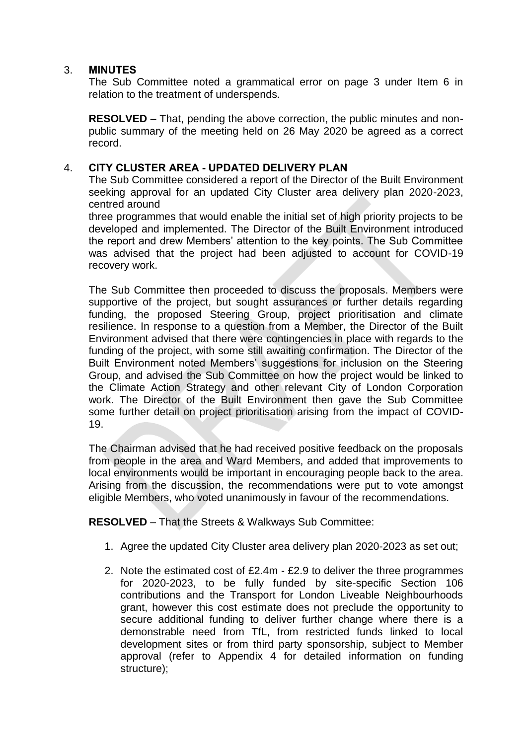# 3. **MINUTES**

The Sub Committee noted a grammatical error on page 3 under Item 6 in relation to the treatment of underspends.

**RESOLVED** – That, pending the above correction, the public minutes and nonpublic summary of the meeting held on 26 May 2020 be agreed as a correct record.

# 4. **CITY CLUSTER AREA - UPDATED DELIVERY PLAN**

The Sub Committee considered a report of the Director of the Built Environment seeking approval for an updated City Cluster area delivery plan 2020-2023, centred around

three programmes that would enable the initial set of high priority projects to be developed and implemented. The Director of the Built Environment introduced the report and drew Members' attention to the key points. The Sub Committee was advised that the project had been adjusted to account for COVID-19 recovery work.

The Sub Committee then proceeded to discuss the proposals. Members were supportive of the project, but sought assurances or further details regarding funding, the proposed Steering Group, project prioritisation and climate resilience. In response to a question from a Member, the Director of the Built Environment advised that there were contingencies in place with regards to the funding of the project, with some still awaiting confirmation. The Director of the Built Environment noted Members' suggestions for inclusion on the Steering Group, and advised the Sub Committee on how the project would be linked to the Climate Action Strategy and other relevant City of London Corporation work. The Director of the Built Environment then gave the Sub Committee some further detail on project prioritisation arising from the impact of COVID-19.

The Chairman advised that he had received positive feedback on the proposals from people in the area and Ward Members, and added that improvements to local environments would be important in encouraging people back to the area. Arising from the discussion, the recommendations were put to vote amongst eligible Members, who voted unanimously in favour of the recommendations.

**RESOLVED** – That the Streets & Walkways Sub Committee:

- 1. Agree the updated City Cluster area delivery plan 2020-2023 as set out;
- 2. Note the estimated cost of £2.4m £2.9 to deliver the three programmes for 2020-2023, to be fully funded by site-specific Section 106 contributions and the Transport for London Liveable Neighbourhoods grant, however this cost estimate does not preclude the opportunity to secure additional funding to deliver further change where there is a demonstrable need from TfL, from restricted funds linked to local development sites or from third party sponsorship, subject to Member approval (refer to Appendix 4 for detailed information on funding structure);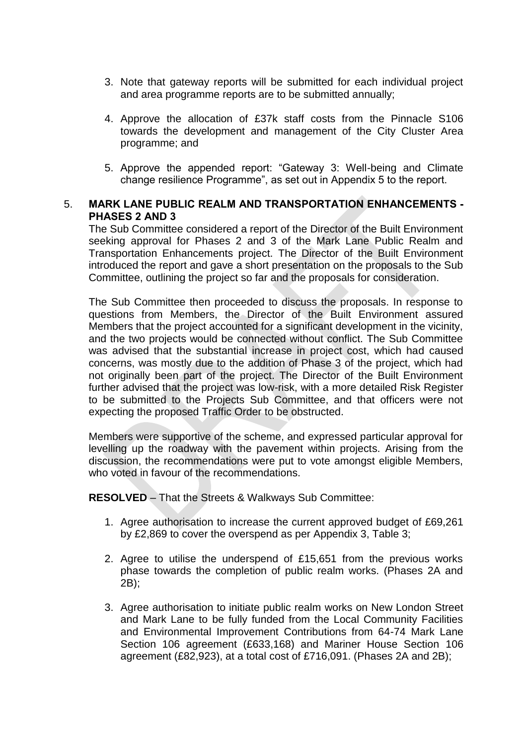- 3. Note that gateway reports will be submitted for each individual project and area programme reports are to be submitted annually;
- 4. Approve the allocation of £37k staff costs from the Pinnacle S106 towards the development and management of the City Cluster Area programme; and
- 5. Approve the appended report: "Gateway 3: Well-being and Climate change resilience Programme", as set out in Appendix 5 to the report.

# 5. **MARK LANE PUBLIC REALM AND TRANSPORTATION ENHANCEMENTS - PHASES 2 AND 3**

The Sub Committee considered a report of the Director of the Built Environment seeking approval for Phases 2 and 3 of the Mark Lane Public Realm and Transportation Enhancements project. The Director of the Built Environment introduced the report and gave a short presentation on the proposals to the Sub Committee, outlining the project so far and the proposals for consideration.

The Sub Committee then proceeded to discuss the proposals. In response to questions from Members, the Director of the Built Environment assured Members that the project accounted for a significant development in the vicinity, and the two projects would be connected without conflict. The Sub Committee was advised that the substantial increase in project cost, which had caused concerns, was mostly due to the addition of Phase 3 of the project, which had not originally been part of the project. The Director of the Built Environment further advised that the project was low-risk, with a more detailed Risk Register to be submitted to the Projects Sub Committee, and that officers were not expecting the proposed Traffic Order to be obstructed.

Members were supportive of the scheme, and expressed particular approval for levelling up the roadway with the pavement within projects. Arising from the discussion, the recommendations were put to vote amongst eligible Members, who voted in favour of the recommendations.

**RESOLVED** – That the Streets & Walkways Sub Committee:

- 1. Agree authorisation to increase the current approved budget of £69,261 by £2,869 to cover the overspend as per Appendix 3, Table 3;
- 2. Agree to utilise the underspend of £15,651 from the previous works phase towards the completion of public realm works. (Phases 2A and 2B);
- 3. Agree authorisation to initiate public realm works on New London Street and Mark Lane to be fully funded from the Local Community Facilities and Environmental Improvement Contributions from 64-74 Mark Lane Section 106 agreement (£633,168) and Mariner House Section 106 agreement (£82,923), at a total cost of £716,091. (Phases 2A and 2B);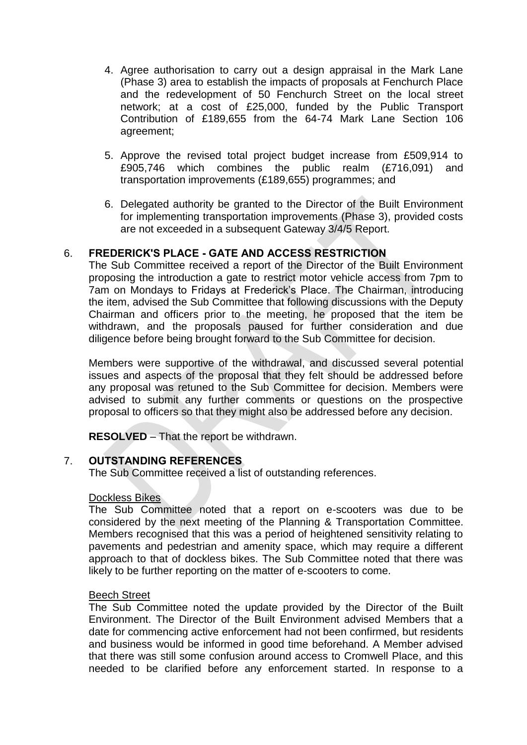- 4. Agree authorisation to carry out a design appraisal in the Mark Lane (Phase 3) area to establish the impacts of proposals at Fenchurch Place and the redevelopment of 50 Fenchurch Street on the local street network; at a cost of £25,000, funded by the Public Transport Contribution of £189,655 from the 64-74 Mark Lane Section 106 agreement;
- 5. Approve the revised total project budget increase from £509,914 to £905,746 which combines the public realm (£716,091) and transportation improvements (£189,655) programmes; and
- 6. Delegated authority be granted to the Director of the Built Environment for implementing transportation improvements (Phase 3), provided costs are not exceeded in a subsequent Gateway 3/4/5 Report.

# 6. **FREDERICK'S PLACE - GATE AND ACCESS RESTRICTION**

The Sub Committee received a report of the Director of the Built Environment proposing the introduction a gate to restrict motor vehicle access from 7pm to 7am on Mondays to Fridays at Frederick's Place. The Chairman, introducing the item, advised the Sub Committee that following discussions with the Deputy Chairman and officers prior to the meeting, he proposed that the item be withdrawn, and the proposals paused for further consideration and due diligence before being brought forward to the Sub Committee for decision.

Members were supportive of the withdrawal, and discussed several potential issues and aspects of the proposal that they felt should be addressed before any proposal was retuned to the Sub Committee for decision. Members were advised to submit any further comments or questions on the prospective proposal to officers so that they might also be addressed before any decision.

**RESOLVED** – That the report be withdrawn.

# 7. **OUTSTANDING REFERENCES**

The Sub Committee received a list of outstanding references.

#### Dockless Bikes

The Sub Committee noted that a report on e-scooters was due to be considered by the next meeting of the Planning & Transportation Committee. Members recognised that this was a period of heightened sensitivity relating to pavements and pedestrian and amenity space, which may require a different approach to that of dockless bikes. The Sub Committee noted that there was likely to be further reporting on the matter of e-scooters to come.

#### Beech Street

The Sub Committee noted the update provided by the Director of the Built Environment. The Director of the Built Environment advised Members that a date for commencing active enforcement had not been confirmed, but residents and business would be informed in good time beforehand. A Member advised that there was still some confusion around access to Cromwell Place, and this needed to be clarified before any enforcement started. In response to a